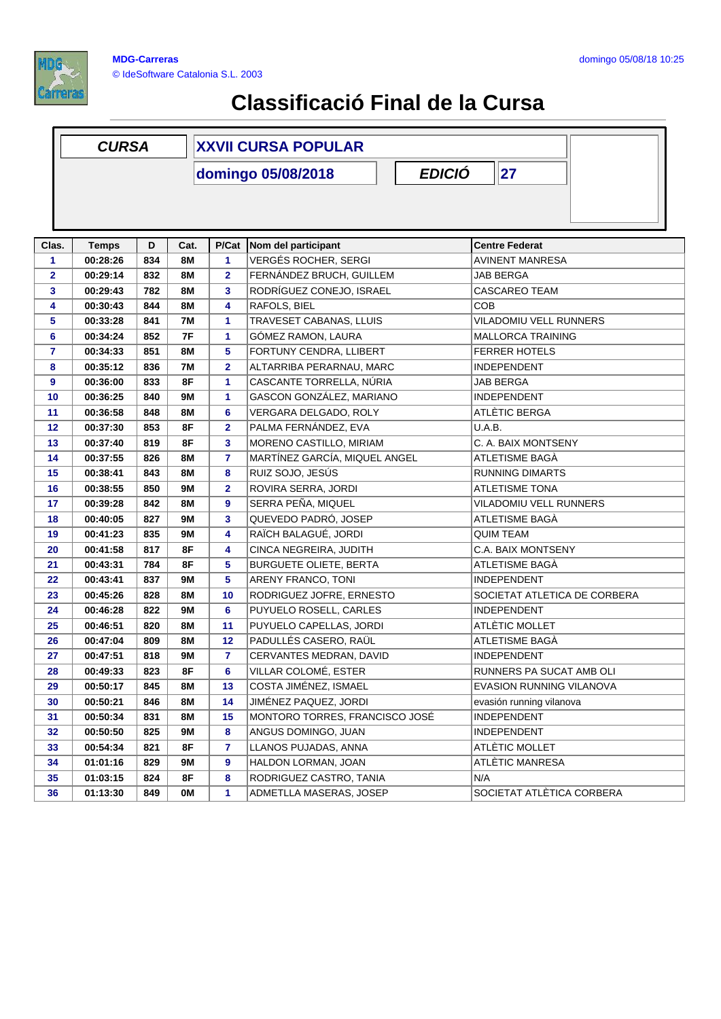

## **Classificació Final de la Cursa**

|                | <b>CURSA</b> |     |           | <b>XXVII CURSA POPULAR</b> |                                     |                               |  |  |
|----------------|--------------|-----|-----------|----------------------------|-------------------------------------|-------------------------------|--|--|
|                |              |     |           |                            | <b>EDICIÓ</b><br>domingo 05/08/2018 | 27                            |  |  |
|                |              |     |           |                            |                                     |                               |  |  |
|                |              |     |           |                            |                                     |                               |  |  |
|                |              |     |           |                            |                                     |                               |  |  |
| Clas.          | <b>Temps</b> | D   | Cat.      | P/Cat                      | Nom del participant                 | <b>Centre Federat</b>         |  |  |
| 1              | 00:28:26     | 834 | <b>8M</b> | 1                          | <b>VERGÉS ROCHER, SERGI</b>         | <b>AVINENT MANRESA</b>        |  |  |
| $\mathbf{2}$   | 00:29:14     | 832 | <b>8M</b> | 2                          | FERNÁNDEZ BRUCH, GUILLEM            | JAB BERGA                     |  |  |
| 3              | 00:29:43     | 782 | <b>8M</b> | 3                          | RODRÍGUEZ CONEJO, ISRAEL            | <b>CASCAREO TEAM</b>          |  |  |
| 4              | 00:30:43     | 844 | <b>8M</b> | 4                          | RAFOLS, BIEL                        | COB                           |  |  |
| 5              | 00:33:28     | 841 | <b>7M</b> | 1                          | TRAVESET CABANAS, LLUIS             | <b>VILADOMIU VELL RUNNERS</b> |  |  |
| 6              | 00:34:24     | 852 | 7F        | 1                          | GÓMEZ RAMON, LAURA                  | <b>MALLORCA TRAINING</b>      |  |  |
| $\overline{7}$ | 00:34:33     | 851 | <b>8M</b> | 5                          | FORTUNY CENDRA, LLIBERT             | <b>FERRER HOTELS</b>          |  |  |
| 8              | 00:35:12     | 836 | <b>7M</b> | $\mathbf{2}$               | ALTARRIBA PERARNAU, MARC            | <b>INDEPENDENT</b>            |  |  |
| 9              | 00:36:00     | 833 | 8F        | 1                          | CASCANTE TORRELLA, NÚRIA            | <b>JAB BERGA</b>              |  |  |
| 10             | 00:36:25     | 840 | 9M        | 1                          | GASCON GONZÁLEZ, MARIANO            | <b>INDEPENDENT</b>            |  |  |
| 11             | 00:36:58     | 848 | 8M        | 6                          | VERGARA DELGADO, ROLY               | ATLÈTIC BERGA                 |  |  |
| 12             | 00:37:30     | 853 | 8F        | $\overline{\mathbf{2}}$    | PALMA FERNÁNDEZ, EVA                | U.A.B.                        |  |  |
| 13             | 00:37:40     | 819 | 8F        | 3                          | MORENO CASTILLO, MIRIAM             | C. A. BAIX MONTSENY           |  |  |
| 14             | 00:37:55     | 826 | <b>8M</b> | 7                          | MARTÍNEZ GARCÍA, MIQUEL ANGEL       | ATLETISME BAGÀ                |  |  |
| 15             | 00:38:41     | 843 | 8M        | 8                          | RUIZ SOJO, JESÚS                    | <b>RUNNING DIMARTS</b>        |  |  |
| 16             | 00:38:55     | 850 | 9M        | $\mathbf{2}$               | ROVIRA SERRA, JORDI                 | <b>ATLETISME TONA</b>         |  |  |
| 17             | 00:39:28     | 842 | <b>8M</b> | 9                          | SERRA PEÑA, MIQUEL                  | VILADOMIU VELL RUNNERS        |  |  |
| 18             | 00:40:05     | 827 | <b>9M</b> | 3                          | QUEVEDO PADRÓ, JOSEP                | ATLETISME BAGA                |  |  |
| 19             | 00:41:23     | 835 | 9M        | 4                          | RAÏCH BALAGUÉ, JORDI                | <b>QUIM TEAM</b>              |  |  |
| 20             | 00:41:58     | 817 | 8F        | 4                          | CINCA NEGREIRA, JUDITH              | C.A. BAIX MONTSENY            |  |  |
| 21             | 00:43:31     | 784 | 8F        | 5                          | <b>BURGUETE OLIETE, BERTA</b>       | ATLETISME BAGÀ                |  |  |
| 22             | 00:43:41     | 837 | <b>9M</b> | 5                          | ARENY FRANCO, TONI                  | <b>INDEPENDENT</b>            |  |  |
| 23             | 00:45:26     | 828 | <b>8M</b> | 10                         | RODRIGUEZ JOFRE, ERNESTO            | SOCIETAT ATLETICA DE CORBERA  |  |  |
| 24             | 00:46:28     | 822 | 9M        | 6                          | PUYUELO ROSELL, CARLES              | <b>INDEPENDENT</b>            |  |  |
| 25             | 00:46:51     | 820 | 8M        | 11                         | PUYUELO CAPELLAS, JORDI             | ATLÈTIC MOLLET                |  |  |
| 26             | 00:47:04     | 809 | 8M        | 12                         | PADULLÉS CASERO, RAÜL               | ATLETISME BAGÀ                |  |  |
| 27             | 00:47:51     | 818 | <b>9M</b> | $\overline{7}$             | CERVANTES MEDRAN, DAVID             | <b>INDEPENDENT</b>            |  |  |
| 28             | 00:49:33     | 823 | 8F        | 6                          | VILLAR COLOMÉ, ESTER                | RUNNERS PA SUCAT AMB OLI      |  |  |
| 29             | 00:50:17     | 845 | 8M        | 13                         | COSTA JIMÉNEZ, ISMAEL               | EVASION RUNNING VILANOVA      |  |  |
| 30             | 00:50:21     | 846 | 8M        | 14                         | JIMÉNEZ PAQUEZ, JORDI               | evasión running vilanova      |  |  |
| 31             | 00:50:34     | 831 | 8M        | 15                         | MONTORO TORRES, FRANCISCO JOSÉ      | <b>INDEPENDENT</b>            |  |  |
| 32             | 00:50:50     | 825 | 9Μ        | 8                          | ANGUS DOMINGO, JUAN                 | <b>INDEPENDENT</b>            |  |  |
| 33             | 00:54:34     | 821 | 8F        | 7                          | LLANOS PUJADAS, ANNA                | ATLÈTIC MOLLET                |  |  |
| 34             | 01:01:16     | 829 | 9M        | 9                          | HALDON LORMAN, JOAN                 | ATLÈTIC MANRESA               |  |  |
| 35             | 01:03:15     | 824 | 8F        | 8                          | RODRIGUEZ CASTRO, TANIA             | N/A                           |  |  |
| 36             | 01:13:30     | 849 | OМ        | 1                          | ADMETLLA MASERAS, JOSEP             | SOCIETAT ATLÈTICA CORBERA     |  |  |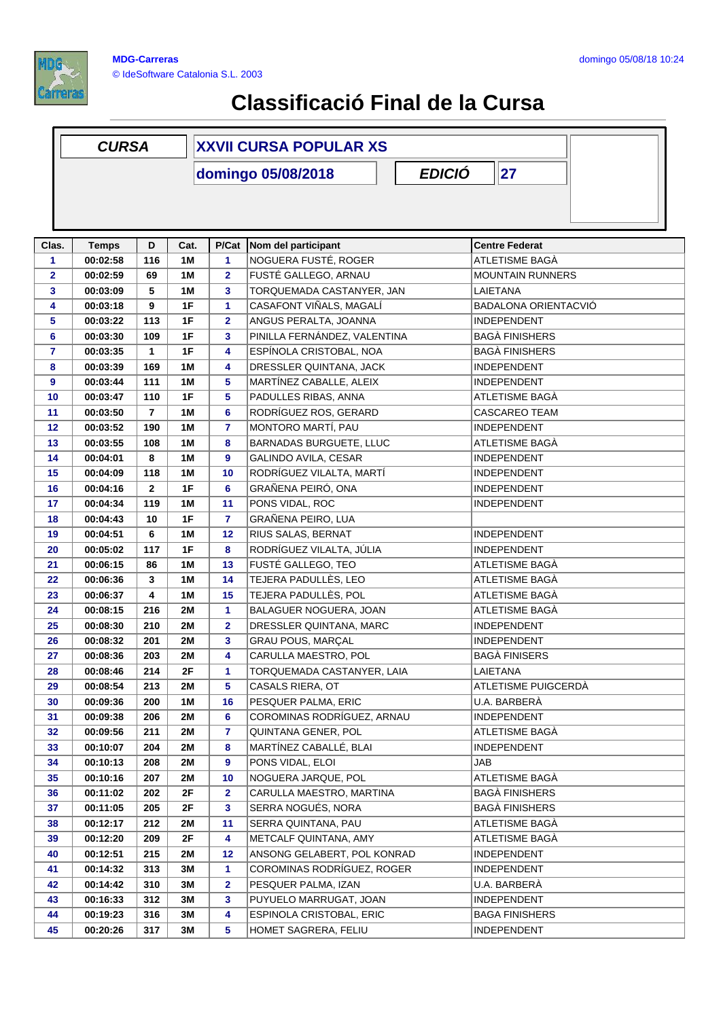

## **Classificació Final de la Cursa**

|                | <b>CURSA</b> |                |           | <b>XXVII CURSA POPULAR XS</b> |                                |                             |  |  |
|----------------|--------------|----------------|-----------|-------------------------------|--------------------------------|-----------------------------|--|--|
|                |              |                |           |                               | domingo 05/08/2018             | <b>EDICIÓ</b><br>27         |  |  |
|                |              |                |           |                               |                                |                             |  |  |
| Clas.          | <b>Temps</b> | D              | Cat.      | P/Cat                         | Nom del participant            | <b>Centre Federat</b>       |  |  |
| 1              | 00:02:58     | 116            | 1M        | 1                             | NOGUERA FUSTÉ, ROGER           | ATLETISME BAGÀ              |  |  |
| $\overline{2}$ | 00:02:59     | 69             | <b>1M</b> | $\mathbf{2}$                  | FUSTÉ GALLEGO, ARNAU           | <b>MOUNTAIN RUNNERS</b>     |  |  |
| 3              | 00:03:09     | 5              | 1M        | 3                             | TORQUEMADA CASTANYER, JAN      | LAIETANA                    |  |  |
| 4              | 00:03:18     | 9              | 1F        | 1                             | CASAFONT VIÑALS, MAGALÍ        | <b>BADALONA ORIENTACVIÓ</b> |  |  |
| 5              | 00:03:22     | 113            | 1F        | $\overline{\mathbf{2}}$       | ANGUS PERALTA, JOANNA          | <b>INDEPENDENT</b>          |  |  |
| 6              | 00:03:30     | 109            | 1F        | 3                             | PINILLA FERNÁNDEZ, VALENTINA   | <b>BAGÀ FINISHERS</b>       |  |  |
| $\overline{7}$ | 00:03:35     | $\mathbf{1}$   | 1F        | 4                             | ESPÍNOLA CRISTOBAL, NOA        | <b>BAGÀ FINISHERS</b>       |  |  |
| 8              | 00:03:39     | 169            | 1M        | 4                             | DRESSLER QUINTANA, JACK        | <b>INDEPENDENT</b>          |  |  |
| 9              | 00:03:44     | 111            | 1M        | 5                             | MARTÍNEZ CABALLE, ALEIX        | <b>INDEPENDENT</b>          |  |  |
| 10             | 00:03:47     | 110            | 1F        | 5                             | PADULLES RIBAS, ANNA           | ATLETISME BAGA              |  |  |
| 11             | 00:03:50     | $\overline{7}$ | 1M        | 6                             | RODRÍGUEZ ROS, GERARD          | <b>CASCAREO TEAM</b>        |  |  |
| 12             | 00:03:52     | 190            | 1M        | $\overline{7}$                | MONTORO MARTÍ, PAU             | <b>INDEPENDENT</b>          |  |  |
| 13             | 00:03:55     | 108            | 1M        | 8                             | <b>BARNADAS BURGUETE, LLUC</b> | ATLETISME BAGÀ              |  |  |
| 14             | 00:04:01     | 8              | <b>1M</b> | 9                             | GALINDO AVILA, CESAR           | INDEPENDENT                 |  |  |
| 15             | 00:04:09     | 118            | 1M        | 10                            | RODRÍGUEZ VILALTA, MARTÍ       | <b>INDEPENDENT</b>          |  |  |
| 16             | 00:04:16     | $\mathbf{2}$   | 1F        | 6                             | GRAÑENA PEIRÓ, ONA             | <b>INDEPENDENT</b>          |  |  |
| 17             | 00:04:34     | 119            | <b>1M</b> | 11                            | PONS VIDAL, ROC                | <b>INDEPENDENT</b>          |  |  |
| 18             | 00:04:43     | 10             | 1F        | $\overline{7}$                | GRAÑENA PEIRO, LUA             |                             |  |  |
| 19             | 00:04:51     | 6              | 1M        | 12                            | RIUS SALAS, BERNAT             | <b>INDEPENDENT</b>          |  |  |
| 20             | 00:05:02     | 117            | 1F        | 8                             | RODRÍGUEZ VILALTA, JÚLIA       | <b>INDEPENDENT</b>          |  |  |
| 21             | 00:06:15     | 86             | 1M        | 13                            | FUSTÉ GALLEGO, TEO             | ATLETISME BAGÀ              |  |  |
| 22             | 00:06:36     | 3              | 1M        | 14                            | TEJERA PADULLÈS, LEO           | ATLETISME BAGÀ              |  |  |
| 23             | 00:06:37     | 4              | 1M        | 15                            | TEJERA PADULLÈS, POL           | ATLETISME BAGÀ              |  |  |
| 24             | 00:08:15     | 216            | <b>2M</b> | 1                             | BALAGUER NOGUERA, JOAN         | ATLETISME BAGÀ              |  |  |
| 25             | 00:08:30     | 210            | 2M        | $\overline{\mathbf{2}}$       | DRESSLER QUINTANA, MARC        | INDEPENDENT                 |  |  |
| 26             | 00:08:32     | 201            | 2M        | 3                             | GRAU POUS, MARÇAL              | <b>INDEPENDENT</b>          |  |  |
| 27             | 00:08:36     | 203            | 2M        | 4                             | CARULLA MAESTRO, POL           | <b>BAGÀ FINISERS</b>        |  |  |
| 28             | 00:08:46     | $214$          | 2F        | 1                             | TORQUEMADA CASTANYER, LAIA     | LAIETANA                    |  |  |
| 29             | 00:08:54     | 213            | 2M        | 5                             | CASALS RIERA, OT               | ATLETISME PUIGCERDÀ         |  |  |
| 30             | 00:09:36     | 200            | 1 M       | 16                            | PESQUER PALMA, ERIC            | U.A. BARBERÀ                |  |  |
| 31             | 00:09:38     | 206            | 2M        | 6                             | COROMINAS RODRÍGUEZ, ARNAU     | <b>INDEPENDENT</b>          |  |  |
| 32             | 00:09:56     | 211            | 2M        | 7                             | QUINTANA GENER, POL            | ATLETISME BAGA              |  |  |
| 33             | 00:10:07     | 204            | 2M        | 8                             | MARTÍNEZ CABALLÉ, BLAI         | <b>INDEPENDENT</b>          |  |  |
| 34             | 00:10:13     | 208            | 2M        | 9                             | PONS VIDAL, ELOI               | JAB                         |  |  |
| 35             | 00:10:16     | 207            | 2M        | 10                            | NOGUERA JARQUE, POL            | ATLETISME BAGÀ              |  |  |
| 36             | 00:11:02     | 202            | 2F        | $\mathbf{2}$                  | CARULLA MAESTRO, MARTINA       | <b>BAGÀ FINISHERS</b>       |  |  |
| 37             | 00:11:05     | 205            | 2F        | 3                             | SERRA NOGUÉS, NORA             | <b>BAGÀ FINISHERS</b>       |  |  |
| 38             | 00:12:17     | 212            | 2M        | 11                            | SERRA QUINTANA, PAU            | ATLETISME BAGÀ              |  |  |
| 39             | 00:12:20     | 209            | 2F        | 4                             | METCALF QUINTANA, AMY          | ATLETISME BAGÀ              |  |  |
| 40             | 00:12:51     | 215            | 2M        | 12                            | ANSONG GELABERT, POL KONRAD    | <b>INDEPENDENT</b>          |  |  |
| 41             | 00:14:32     | 313            | 3M        | 1                             | COROMINAS RODRÍGUEZ, ROGER     | <b>INDEPENDENT</b>          |  |  |
| 42             | 00:14:42     | 310            | ЗM        | $\overline{\mathbf{2}}$       | PESQUER PALMA, IZAN            | U.A. BARBERA                |  |  |
| 43             | 00:16:33     | 312            | 3M        | 3                             | PUYUELO MARRUGAT, JOAN         | <b>INDEPENDENT</b>          |  |  |
| 44             | 00:19:23     | 316            | ЗM        | 4                             | ESPINOLA CRISTOBAL, ERIC       | <b>BAGA FINISHERS</b>       |  |  |
| 45             | 00:20:26     | 317            | 3M        | 5                             | HOMET SAGRERA, FELIU           | INDEPENDENT                 |  |  |
|                |              |                |           |                               |                                |                             |  |  |